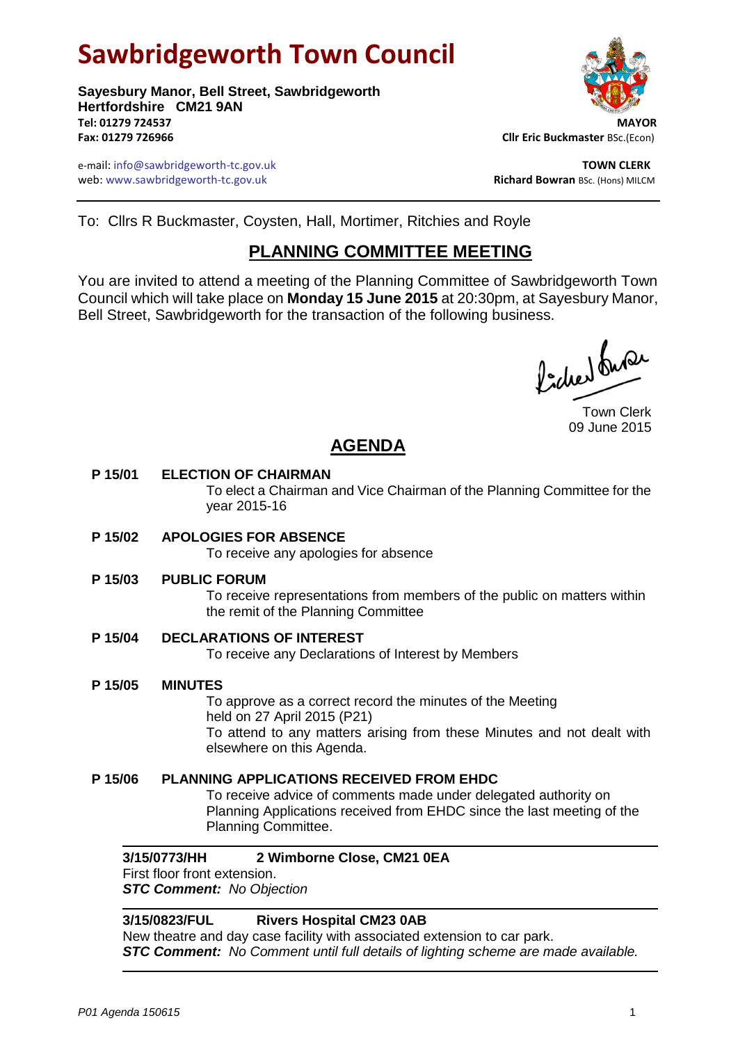# **Sawbridgeworth Town Council**

**Sayesbury Manor, Bell Street, Sawbridgeworth Hertfordshire CM21 9AN Tel: 01279 724537 MAYOR Fax: 01279 726966 Cllr Eric Buckmaster** BSc.(Econ)

e-mail: info@sawbridgeworth-tc.gov.uk **TOWN CLERK** web: www.sawbridgeworth-tc.gov.uk<br> **Richard Bowran** BSc. (Hons) MILCM



To: Cllrs R Buckmaster, Coysten, Hall, Mortimer, Ritchies and Royle

# **PLANNING COMMITTEE MEETING**

You are invited to attend a meeting of the Planning Committee of Sawbridgeworth Town Council which will take place on **Monday 15 June 2015** at 20:30pm, at Sayesbury Manor, Bell Street, Sawbridgeworth for the transaction of the following business.

ladres buse

Town Clerk 09 June 2015

# **AGENDA**

# **P 15/01 ELECTION OF CHAIRMAN**

To elect a Chairman and Vice Chairman of the Planning Committee for the year 2015-16

**P 15/02 APOLOGIES FOR ABSENCE**

To receive any apologies for absence

**P 15/03 PUBLIC FORUM**

To receive representations from members of the public on matters within the remit of the Planning Committee

**P 15/04 DECLARATIONS OF INTEREST**

To receive any Declarations of Interest by Members

# **P 15/05 MINUTES** To approve as a correct record the minutes of the Meeting held on 27 April 2015 (P21) To attend to any matters arising from these Minutes and not dealt with elsewhere on this Agenda.

**P 15/06 PLANNING APPLICATIONS RECEIVED FROM EHDC** To receive advice of comments made under delegated authority on Planning Applications received from EHDC since the last meeting of the Planning Committee.

# **3/15/0773/HH 2 Wimborne Close, CM21 0EA**

First floor front extension. *STC Comment: No Objection*

# **3/15/0823/FUL Rivers Hospital CM23 0AB**

New theatre and day case facility with associated extension to car park. *STC Comment: No Comment until full details of lighting scheme are made available.*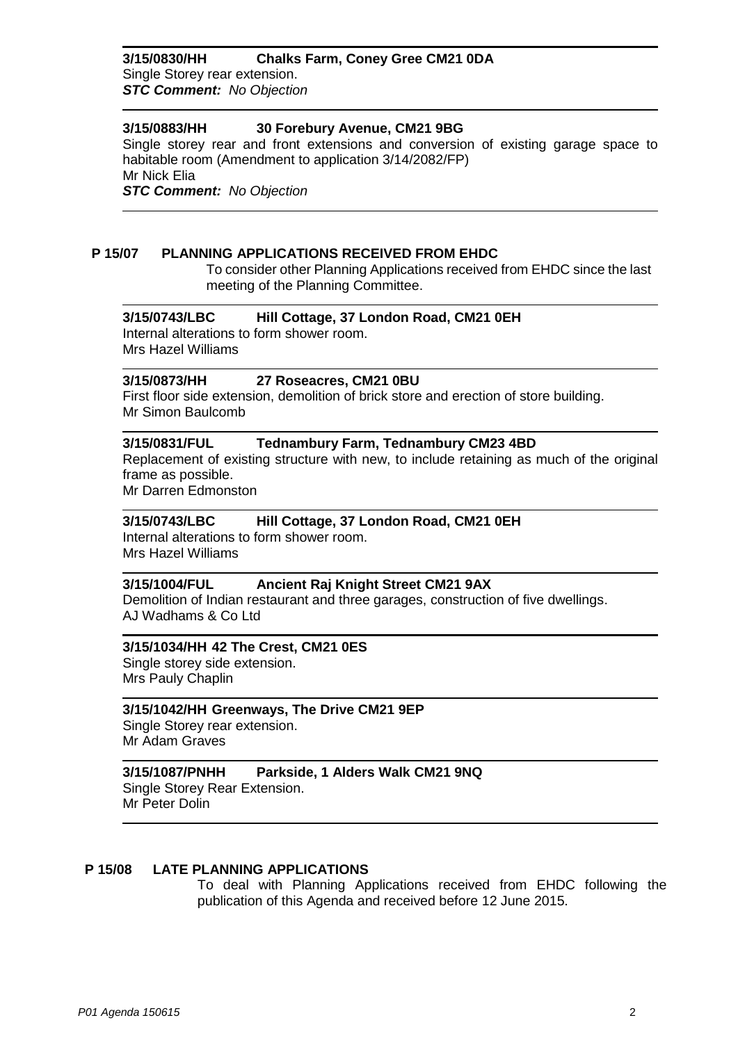# **3/15/0830/HH Chalks Farm, Coney Gree CM21 0DA**

Single Storey rear extension. *STC Comment: No Objection*

# **3/15/0883/HH 30 Forebury Avenue, CM21 9BG**

Single storey rear and front extensions and conversion of existing garage space to habitable room (Amendment to application 3/14/2082/FP) Mr Nick Elia

*STC Comment: No Objection*

# **P 15/07 PLANNING APPLICATIONS RECEIVED FROM EHDC**

To consider other Planning Applications received from EHDC since the last meeting of the Planning Committee.

#### **3/15/0743/LBC Hill Cottage, 37 London Road, CM21 0EH**

Internal alterations to form shower room. Mrs Hazel Williams

# **3/15/0873/HH 27 Roseacres, CM21 0BU**

First floor side extension, demolition of brick store and erection of store building. Mr Simon Baulcomb

# **3/15/0831/FUL Tednambury Farm, Tednambury CM23 4BD**

Replacement of existing structure with new, to include retaining as much of the original frame as possible.

Mr Darren Edmonston

# **3/15/0743/LBC Hill Cottage, 37 London Road, CM21 0EH**

Internal alterations to form shower room. Mrs Hazel Williams

# **3/15/1004/FUL Ancient Raj Knight Street CM21 9AX**

Demolition of Indian restaurant and three garages, construction of five dwellings. AJ Wadhams & Co Ltd

#### **3/15/1034/HH 42 The Crest, CM21 0ES**

Single storey side extension. Mrs Pauly Chaplin

#### **3/15/1042/HH Greenways, The Drive CM21 9EP**

Single Storey rear extension. Mr Adam Graves

# **3/15/1087/PNHH Parkside, 1 Alders Walk CM21 9NQ**

Single Storey Rear Extension. Mr Peter Dolin

#### **P 15/08 LATE PLANNING APPLICATIONS**

To deal with Planning Applications received from EHDC following the publication of this Agenda and received before 12 June 2015.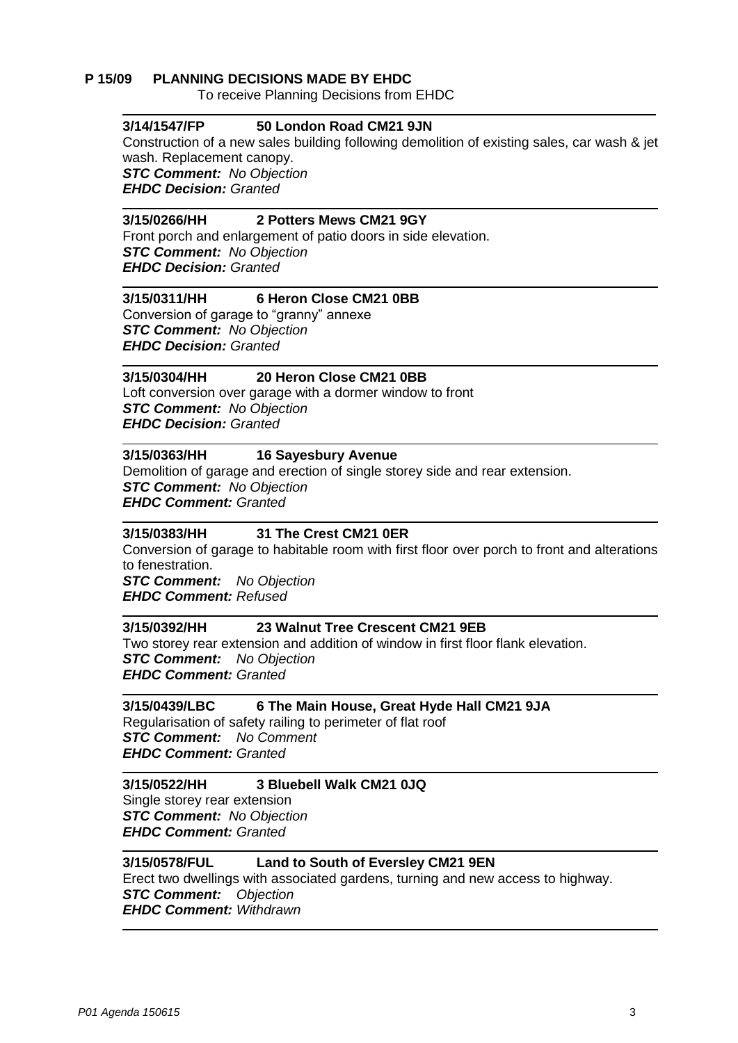#### **P 15/09 PLANNING DECISIONS MADE BY EHDC**

To receive Planning Decisions from EHDC

#### **3/14/1547/FP 50 London Road CM21 9JN**

Construction of a new sales building following demolition of existing sales, car wash & jet wash. Replacement canopy.

*STC Comment: No Objection EHDC Decision: Granted*

#### **3/15/0266/HH 2 Potters Mews CM21 9GY**

Front porch and enlargement of patio doors in side elevation. *STC Comment: No Objection EHDC Decision: Granted*

#### **3/15/0311/HH 6 Heron Close CM21 0BB**

Conversion of garage to "granny" annexe *STC Comment: No Objection EHDC Decision: Granted*

#### **3/15/0304/HH 20 Heron Close CM21 0BB**

Loft conversion over garage with a dormer window to front *STC Comment: No Objection EHDC Decision: Granted*

#### **3/15/0363/HH 16 Sayesbury Avenue**

Demolition of garage and erection of single storey side and rear extension. *STC Comment: No Objection EHDC Comment: Granted*

#### **3/15/0383/HH 31 The Crest CM21 0ER**

Conversion of garage to habitable room with first floor over porch to front and alterations to fenestration.

*STC Comment: No Objection EHDC Comment: Refused*

#### **3/15/0392/HH 23 Walnut Tree Crescent CM21 9EB**

Two storey rear extension and addition of window in first floor flank elevation. *STC Comment: No Objection EHDC Comment: Granted*

# **3/15/0439/LBC 6 The Main House, Great Hyde Hall CM21 9JA**

Regularisation of safety railing to perimeter of flat roof *STC Comment: No Comment EHDC Comment: Granted*

# **3/15/0522/HH 3 Bluebell Walk CM21 0JQ** Single storey rear extension *STC Comment: No Objection*

*EHDC Comment: Granted*

# **3/15/0578/FUL Land to South of Eversley CM21 9EN**

Erect two dwellings with associated gardens, turning and new access to highway. *STC Comment: Objection EHDC Comment: Withdrawn*